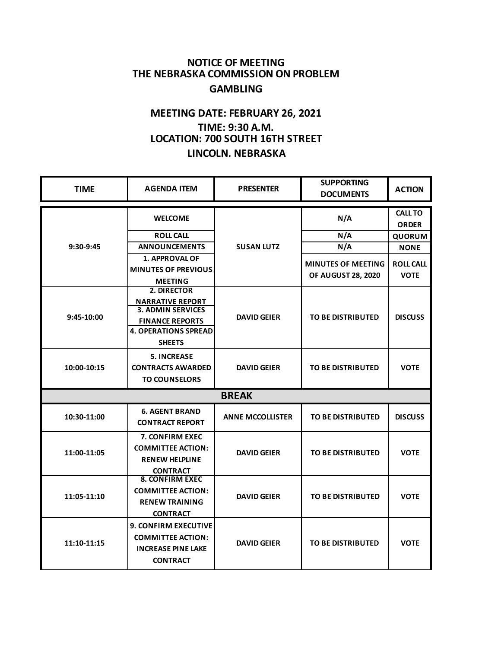## **NOTICE OF MEETING THE NEBRASKA COMMISSION ON PROBLEM GAMBLING**

## **MEETING DATE: FEBRUARY 26, 2021 TIME: 9:30 A.M. LOCATION: 700 SOUTH 16TH STREET LINCOLN, NEBRASKA**

| <b>TIME</b>  | <b>AGENDA ITEM</b>                                                                                                                           | <b>PRESENTER</b>        | <b>SUPPORTING</b><br><b>DOCUMENTS</b> | <b>ACTION</b>                  |  |  |
|--------------|----------------------------------------------------------------------------------------------------------------------------------------------|-------------------------|---------------------------------------|--------------------------------|--|--|
| 9:30-9:45    | <b>WELCOME</b>                                                                                                                               | <b>SUSAN LUTZ</b>       | N/A                                   | <b>CALL TO</b><br><b>ORDER</b> |  |  |
|              | <b>ROLL CALL</b>                                                                                                                             |                         | N/A                                   | <b>QUORUM</b>                  |  |  |
|              | <b>ANNOUNCEMENTS</b>                                                                                                                         |                         | N/A                                   | <b>NONE</b>                    |  |  |
|              | <b>1. APPROVAL OF</b>                                                                                                                        |                         | <b>MINUTES OF MEETING</b>             | <b>ROLL CALL</b>               |  |  |
|              | <b>MINUTES OF PREVIOUS</b>                                                                                                                   |                         | <b>OF AUGUST 28, 2020</b>             | <b>VOTE</b>                    |  |  |
|              | <b>MEETING</b>                                                                                                                               |                         |                                       |                                |  |  |
| $9:45-10:00$ | 2. DIRECTOR<br><b>NARRATIVE REPORT</b><br><b>3. ADMIN SERVICES</b><br><b>FINANCE REPORTS</b><br><b>4. OPERATIONS SPREAD</b><br><b>SHEETS</b> | <b>DAVID GEIER</b>      | <b>TO BE DISTRIBUTED</b>              | <b>DISCUSS</b>                 |  |  |
| 10:00-10:15  | <b>5. INCREASE</b><br><b>CONTRACTS AWARDED</b><br><b>TO COUNSELORS</b>                                                                       | <b>DAVID GEIER</b>      | <b>TO BE DISTRIBUTED</b>              | <b>VOTE</b>                    |  |  |
| <b>BREAK</b> |                                                                                                                                              |                         |                                       |                                |  |  |
| 10:30-11:00  | <b>6. AGENT BRAND</b><br><b>CONTRACT REPORT</b>                                                                                              | <b>ANNE MCCOLLISTER</b> | <b>TO BE DISTRIBUTED</b>              | <b>DISCUSS</b>                 |  |  |
| 11:00-11:05  | 7. CONFIRM EXEC<br><b>COMMITTEE ACTION:</b><br><b>RENEW HELPLINE</b><br><b>CONTRACT</b>                                                      | <b>DAVID GEIER</b>      | <b>TO BE DISTRIBUTED</b>              | <b>VOTE</b>                    |  |  |
| 11:05-11:10  | <b>8. CONFIRM EXEC</b><br><b>COMMITTEE ACTION:</b><br><b>RENEW TRAINING</b><br><b>CONTRACT</b>                                               | <b>DAVID GEIER</b>      | <b>TO BE DISTRIBUTED</b>              | <b>VOTE</b>                    |  |  |
| 11:10-11:15  | <b>9. CONFIRM EXECUTIVE</b><br><b>COMMITTEE ACTION:</b><br><b>INCREASE PINE LAKE</b><br><b>CONTRACT</b>                                      | <b>DAVID GEIER</b>      | <b>TO BE DISTRIBUTED</b>              | <b>VOTE</b>                    |  |  |